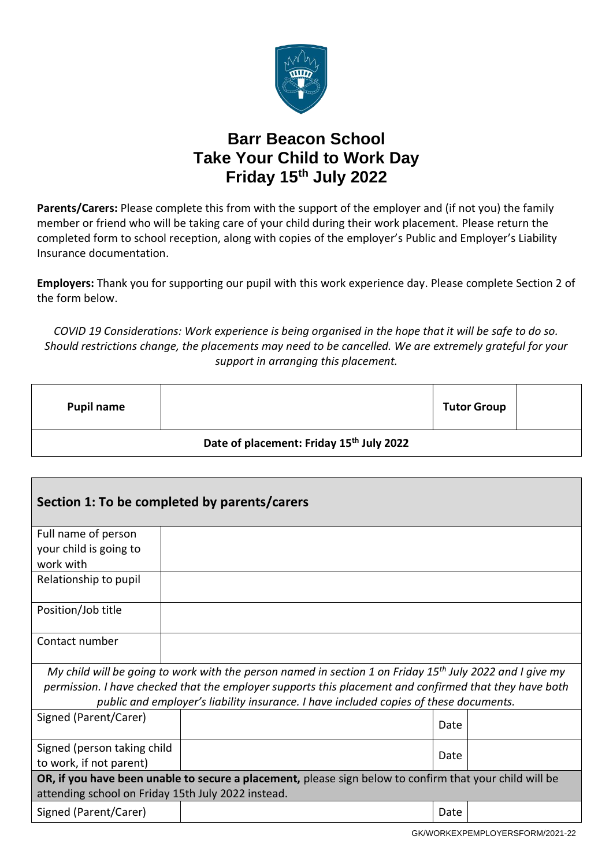

## **Barr Beacon School Take Your Child to Work Day Friday 15th July 2022**

**Parents/Carers:** Please complete this from with the support of the employer and (if not you) the family member or friend who will be taking care of your child during their work placement. Please return the completed form to school reception, along with copies of the employer's Public and Employer's Liability Insurance documentation.

**Employers:** Thank you for supporting our pupil with this work experience day. Please complete Section 2 of the form below.

*COVID 19 Considerations: Work experience is being organised in the hope that it will be safe to do so. Should restrictions change, the placements may need to be cancelled. We are extremely grateful for your support in arranging this placement.*

| <b>Pupil name</b>                                    |  | <b>Tutor Group</b> |  |  |  |  |  |
|------------------------------------------------------|--|--------------------|--|--|--|--|--|
| Date of placement: Friday 15 <sup>th</sup> July 2022 |  |                    |  |  |  |  |  |

| Section 1: To be completed by parents/carers                                                                                                                  |  |      |  |  |  |  |  |  |
|---------------------------------------------------------------------------------------------------------------------------------------------------------------|--|------|--|--|--|--|--|--|
| Full name of person                                                                                                                                           |  |      |  |  |  |  |  |  |
| your child is going to<br>work with                                                                                                                           |  |      |  |  |  |  |  |  |
| Relationship to pupil                                                                                                                                         |  |      |  |  |  |  |  |  |
| Position/Job title                                                                                                                                            |  |      |  |  |  |  |  |  |
| Contact number                                                                                                                                                |  |      |  |  |  |  |  |  |
| My child will be going to work with the person named in section 1 on Friday 15 <sup>th</sup> July 2022 and I give my                                          |  |      |  |  |  |  |  |  |
| permission. I have checked that the employer supports this placement and confirmed that they have both                                                        |  |      |  |  |  |  |  |  |
| public and employer's liability insurance. I have included copies of these documents.                                                                         |  |      |  |  |  |  |  |  |
| Signed (Parent/Carer)                                                                                                                                         |  | Date |  |  |  |  |  |  |
| Signed (person taking child                                                                                                                                   |  | Date |  |  |  |  |  |  |
| to work, if not parent)                                                                                                                                       |  |      |  |  |  |  |  |  |
| OR, if you have been unable to secure a placement, please sign below to confirm that your child will be<br>attending school on Friday 15th July 2022 instead. |  |      |  |  |  |  |  |  |
| Signed (Parent/Carer)                                                                                                                                         |  | Date |  |  |  |  |  |  |